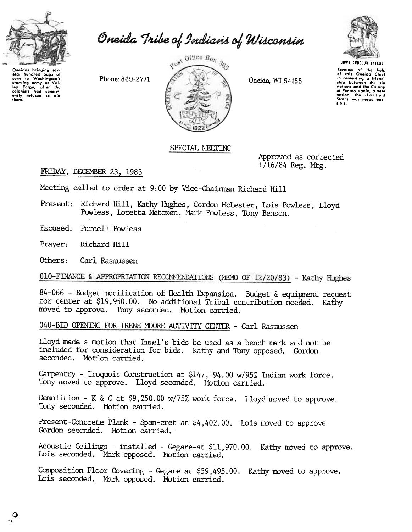

Oneida Tribe of Indians of Wisconsin

Oneidas bringing sov-<br>stral hundred bags of<br>corn to Washington's<br>starving army at Val-<br>ley Forge, after the<br>colonists had consist-<br>ently refused to aid<br>them.

Phone: 869-2771



Oneida, WI 54155



Secause of the help<br>of this Oneida Chief<br>in cementing a friendship between the six nations and the Colony<br>of Pennsylvania, a new<br>nation, the United<br>States was made possible.

## SPECIAL MEETING

Approved as corrected 1/16/84 Reg. Mtg.

## FRIDAY, DECEMBER 23, 1983

Meeting called to order at 9:00 by Vice-Chairman Richard Hill

Richard Hill, Kathy Hughes, Gordon McLester, Lois Powless, Lloyd Present: Powless, Loretta Metoxen, Mark Powless, Tony Benson.

Excused: Purcell Powless

Prayer: Richard Hill

Others: Carl Rasmissen

010-FINANCE & APPROPRIATION RECOMMENDATIONS (MEMO OF 12/20/83) - Kathy Hughes

84-066 - Budget modification of Health Expansion. Budget & equipment request for center at \$19,950.00. No additional Tribal contribution needed. Kathy moved to approve. Tony seconded. Motion carried.

040-BID OPENING FOR IRENE MOORE ACTIVITY CENTER - Carl Rasmussen

Lloyd made a motion that Inmel's bids be used as a bench mark and not be included for consideration for bids. Kathy and Tony opposed. Gordon seconded. Notion carried.

Carpentry - Iroquois Construction at \$147,194.00 w/95% Indian work force. Tony moved to approve. Lloyd seconded. Motion carried.

Demolition - K & C at \$9,250.00 w/75% work force. Lloyd moved to approve. Tony seconded. Motion carried.

Present-Concrete Plank - Span-cret at \$4,402.00. Lois moved to approve. Gordon seconded. Motion carried.

Acoustic Ceilings - installed - Gegare-at \$11,970.00. Kathy moved to approve. Lois seconded. Mark opposed. Notion carried.

Composition Floor Covering - Gegare at \$59,495.00. Kathy moved to approve. Lois seconded. Mark opposed. Motion carried.